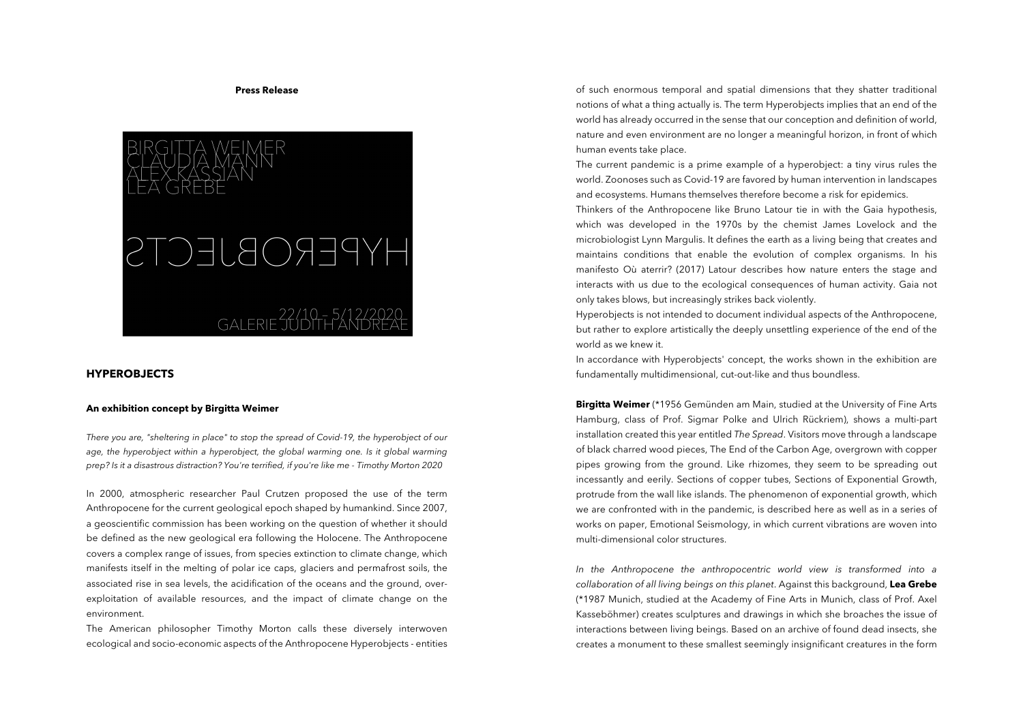## **Press Release**



## **HYPEROBJECTS**

## **An exhibition concept by Birgitta Weimer**

*There you are, "sheltering in place" to stop the spread of Covid-19, the hyperobject of our age, the hyperobject within a hyperobject, the global warming one. Is it global warming prep? Is it a disastrous distraction? You're terrified, if you're like me - Timothy Morton 2020*

In 2000, atmospheric researcher Paul Crutzen proposed the use of the term Anthropocene for the current geological epoch shaped by humankind. Since 2007, a geoscientific commission has been working on the question of whether it should be defined as the new geological era following the Holocene. The Anthropocene covers a complex range of issues, from species extinction to climate change, which manifests itself in the melting of polar ice caps, glaciers and permafrost soils, the associated rise in sea levels, the acidification of the oceans and the ground, overexploitation of available resources, and the impact of climate change on the environment.

The American philosopher Timothy Morton calls these diversely interwoven ecological and socio-economic aspects of the Anthropocene Hyperobjects - entities

of such enormous temporal and spatial dimensions that they shatter traditional notions of what a thing actually is. The term Hyperobjects implies that an end of the world has already occurred in the sense that our conception and definition of world, nature and even environment are no longer a meaningful horizon, in front of which human events take place.

The current pandemic is a prime example of a hyperobject: a tiny virus rules the world. Zoonoses such as Covid-19 are favored by human intervention in landscapes and ecosystems. Humans themselves therefore become a risk for epidemics.

Thinkers of the Anthropocene like Bruno Latour tie in with the Gaia hypothesis, which was developed in the 1970s by the chemist James Lovelock and the microbiologist Lynn Margulis. It defines the earth as a living being that creates and maintains conditions that enable the evolution of complex organisms. In his manifesto Où aterrir? (2017) Latour describes how nature enters the stage and interacts with us due to the ecological consequences of human activity. Gaia not only takes blows, but increasingly strikes back violently.

Hyperobjects is not intended to document individual aspects of the Anthropocene, but rather to explore artistically the deeply unsettling experience of the end of the world as we knew it.

In accordance with Hyperobjects' concept, the works shown in the exhibition are fundamentally multidimensional, cut-out-like and thus boundless.

**Birgitta Weimer** (\*1956 Gemünden am Main, studied at the University of Fine Arts Hamburg, class of Prof. Sigmar Polke and Ulrich Rückriem), shows a multi-part installation created this year entitled *The Spread*. Visitors move through a landscape of black charred wood pieces, The End of the Carbon Age, overgrown with copper pipes growing from the ground. Like rhizomes, they seem to be spreading out incessantly and eerily. Sections of copper tubes, Sections of Exponential Growth, protrude from the wall like islands. The phenomenon of exponential growth, which we are confronted with in the pandemic, is described here as well as in a series of works on paper, Emotional Seismology, in which current vibrations are woven into multi-dimensional color structures.

*In the Anthropocene the anthropocentric world view is transformed into a collaboration of all living beings on this planet*. Against this background, **Lea Grebe** (\*1987 Munich, studied at the Academy of Fine Arts in Munich, class of Prof. Axel Kasseböhmer) creates sculptures and drawings in which she broaches the issue of interactions between living beings. Based on an archive of found dead insects, she creates a monument to these smallest seemingly insignificant creatures in the form